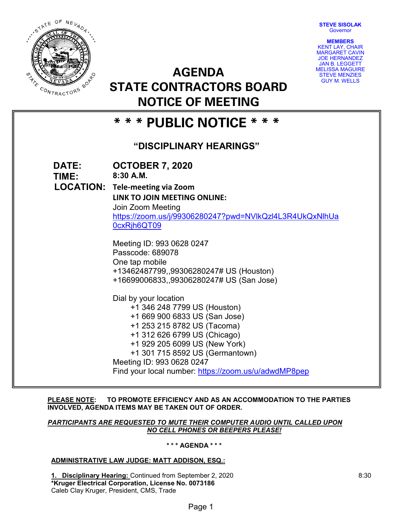**STEVE SISOLAK Governor** 



**AGENDA STATE CONTRACTORS BOARD NOTICE OF MEETING**

| <b>MEMBERS</b>         |
|------------------------|
| <b>KENT LAY, CHAIR</b> |
| <b>MARGARET CAVIN</b>  |
| <b>JOE HERNANDEZ</b>   |
| <b>JAN B. LEGGETT</b>  |
| MELISSA MAGUIRE        |
| <b>STEVE MENZIES</b>   |
| <b>GUY M. WELLS</b>    |

# **\* \* \* PUBLIC NOTICE \* \* \***

# **"DISCIPLINARY HEARINGS"**

| DATE:<br>TIME: | <b>OCTOBER 7, 2020</b><br>$8:30$ A.M.<br>LOCATION: Tele-meeting via Zoom<br>LINK TO JOIN MEETING ONLINE:<br>Join Zoom Meeting<br>https://zoom.us/j/99306280247?pwd=NVlkQzl4L3R4UkQxNlhUa<br>0cxRjh6QT09<br>Meeting ID: 993 0628 0247<br>Passcode: 689078<br>One tap mobile<br>+13462487799,,99306280247# US (Houston)<br>+16699006833,,99306280247# US (San Jose)<br>Dial by your location<br>+1 346 248 7799 US (Houston)<br>+1 669 900 6833 US (San Jose) |
|----------------|-------------------------------------------------------------------------------------------------------------------------------------------------------------------------------------------------------------------------------------------------------------------------------------------------------------------------------------------------------------------------------------------------------------------------------------------------------------|
|                |                                                                                                                                                                                                                                                                                                                                                                                                                                                             |
|                | +1 253 215 8782 US (Tacoma)<br>+1 312 626 6799 US (Chicago)                                                                                                                                                                                                                                                                                                                                                                                                 |
|                | +1 929 205 6099 US (New York)<br>+1 301 715 8592 US (Germantown)<br>Meeting ID: 993 0628 0247                                                                                                                                                                                                                                                                                                                                                               |
|                | Find your local number: https://zoom.us/u/adwdMP8pep                                                                                                                                                                                                                                                                                                                                                                                                        |

# **PLEASE NOTE: TO PROMOTE EFFICIENCY AND AS AN ACCOMMODATION TO THE PARTIES INVOLVED, AGENDA ITEMS MAY BE TAKEN OUT OF ORDER.**

## *PARTICIPANTS ARE REQUESTED TO MUTE THEIR COMPUTER AUDIO UNTIL CALLED UPON NO CELL PHONES OR BEEPERS PLEASE!*

# **\* \* \* AGENDA \* \* \***

# **ADMINISTRATIVE LAW JUDGE: MATT ADDISON, ESQ.:**

**1. Disciplinary Hearing:** Continued from September 2, 2020 **\*Kruger Electrical Corporation, License No. 0073186** Caleb Clay Kruger, President, CMS, Trade